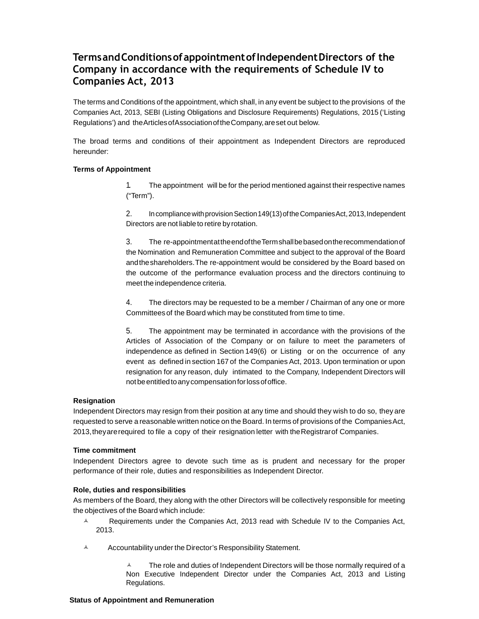# **Terms and Conditions of appointment of Independent Directors of the Company in accordance with the requirements of Schedule IV to Companies Act, 2013**

The terms and Conditions of the appointment, which shall, in any event be subject to the provisions of the Companies Act, 2013, SEBI (Listing Obligations and Disclosure Requirements) Regulations, 2015 ('Listing Regulations') and the Articles of Association of the Company, are set out below.

The broad terms and conditions of their appointment as Independent Directors are reproduced hereunder:

### **Terms of Appointment**

1. The appointment will be for the period mentioned against their respective names ("Term").

2. In compliance with provision Section 149(13) of the Companies Act, 2013, Independent Directors are not liable to retire by rotation.

3. The re-appointment at the end of the Term shall be based on the recommendation of the Nomination and Remuneration Committee and subject to the approval of the Board and the shareholders. The re-appointment would be considered by the Board based on the outcome of the performance evaluation process and the directors continuing to meet the independence criteria.

4. The directors may be requested to be a member / Chairman of any one or more Committees of the Board which may be constituted from time to time.

5. The appointment may be terminated in accordance with the provisions of the Articles of Association of the Company or on failure to meet the parameters of independence as defined in Section 149(6) or Listing or on the occurrence of any event as defined in section 167 of the Companies Act, 2013. Upon termination or upon resignation for any reason, duly intimated to the Company, Independent Directors will not be entitled to any compensation for loss of office.

#### **Resignation**

Independent Directors may resign from their position at any time and should they wish to do so, they are requested to serve a reasonable written notice on the Board. In terms of provisions of the Companies Act, 2013, they are required to file a copy of their resignation letter with the Registrar of Companies.

#### **Time commitment**

Independent Directors agree to devote such time as is prudent and necessary for the proper performance of their role, duties and responsibilities as Independent Director.

#### **Role, duties and responsibilities**

As members of the Board, they along with the other Directors will be collectively responsible for meeting the objectives of the Board which include:

- $\lambda$  Requirements under the Companies Act, 2013 read with Schedule IV to the Companies Act, 2013.
- $\lambda$  Accountability under the Director's Responsibility Statement.

 The role and duties of Independent Directors will be those normally required of a Non Executive Independent Director under the Companies Act, 2013 and Listing Regulations.

#### **Status of Appointment and Remuneration**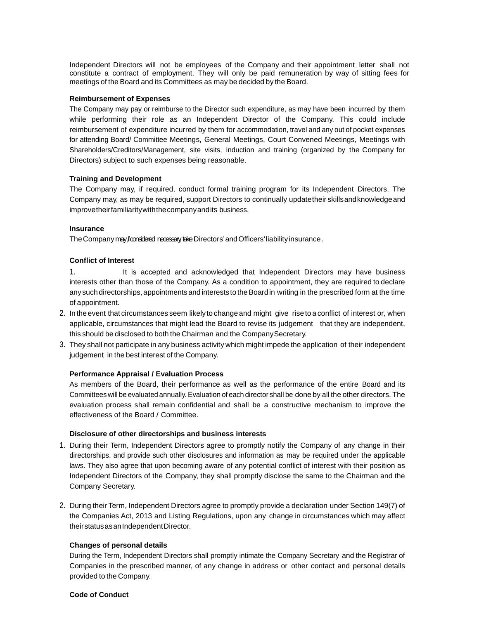Independent Directors will not be employees of the Company and their appointment letter shall not constitute a contract of employment. They will only be paid remuneration by way of sitting fees for meetings of the Board and its Committees as may be decided by the Board.

#### **Reimbursement of Expenses**

The Company may pay or reimburse to the Director such expenditure, as may have been incurred by them while performing their role as an Independent Director of the Company. This could include reimbursement of expenditure incurred by them for accommodation, travel and any out of pocket expenses for attending Board/ Committee Meetings, General Meetings, Court Convened Meetings, Meetings with Shareholders/Creditors/Management, site visits, induction and training (organized by the Company for Directors) subject to such expenses being reasonable.

# **Training and Development**

The Company may, if required, conduct formal training program for its Independent Directors. The Company may, as may be required, support Directors to continually update their skills and knowledge and improve their familiarity with the company and its business.

#### **Insurance**

The Company may from scheed necessary, take Directors' and Officers' liability insurance.

### **Conflict of Interest**

- 1. It is accepted and acknowledged that Independent Directors may have business interests other than those of the Company. As a condition to appointment, they are required to declare any such directorships, appointments and interests to the Board in writing in the prescribed form at the time of appointment.
- 2. In the event that circumstances seem likely to change and might give rise to a conflict of interest or, when applicable, circumstances that might lead the Board to revise its judgement that they are independent, this should be disclosed to both the Chairman and the Company Secretary.
- 3. They shall not participate in any business activity which might impede the application of their independent judgement in the best interest of the Company.

#### **Performance Appraisal / Evaluation Process**

As members of the Board, their performance as well as the performance of the entire Board and its Committees will be evaluated annually. Evaluation of each director shall be done by all the other directors. The evaluation process shall remain confidential and shall be a constructive mechanism to improve the effectiveness of the Board / Committee.

#### **Disclosure of other directorships and business interests**

- 1. During their Term, Independent Directors agree to promptly notify the Company of any change in their directorships, and provide such other disclosures and information as may be required under the applicable laws. They also agree that upon becoming aware of any potential conflict of interest with their position as Independent Directors of the Company, they shall promptly disclose the same to the Chairman and the Company Secretary.
- 2. During their Term, Independent Directors agree to promptly provide a declaration under Section 149(7) of the Companies Act, 2013 and Listing Regulations, upon any change in circumstances which may affect their status as an Independent Director.

# **Changes of personal details**

During the Term, Independent Directors shall promptly intimate the Company Secretary and the Registrar of Companies in the prescribed manner, of any change in address or other contact and personal details provided to the Company.

### **Code of Conduct**